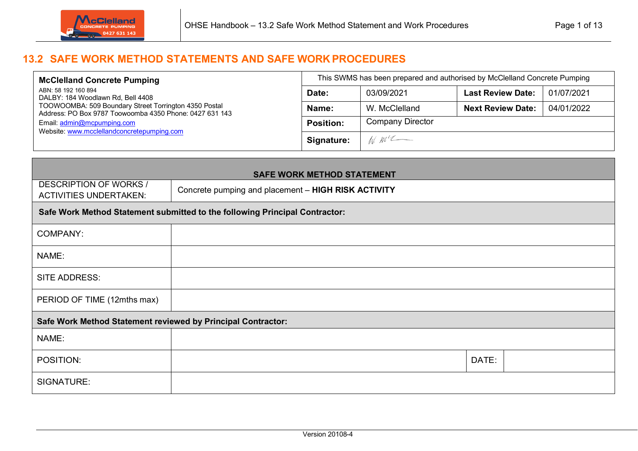

## **13.2 SAFE WORK METHOD STATEMENTS AND SAFE WORK PROCEDURES**

| <b>McClelland Concrete Pumping</b>                                                                               | This SWMS has been prepared and authorised by McClelland Concrete Pumping |                         |                          |            |  |  |
|------------------------------------------------------------------------------------------------------------------|---------------------------------------------------------------------------|-------------------------|--------------------------|------------|--|--|
| ABN: 58 192 160 894<br>DALBY: 184 Woodlawn Rd, Bell 4408                                                         | Date:                                                                     | 03/09/2021              | <b>Last Review Date:</b> | 01/07/2021 |  |  |
| TOOWOOMBA: 509 Boundary Street Torrington 4350 Postal<br>Address: PO Box 9787 Toowoomba 4350 Phone: 0427 631 143 | Name:                                                                     | W. McClelland           | <b>Next Review Date:</b> | 04/01/2022 |  |  |
| Email: admin@mcpumping.com                                                                                       | <b>Position:</b>                                                          | <b>Company Director</b> |                          |            |  |  |
| Website: www.mcclellandconcretepumping.com                                                                       | Signature:                                                                | $M$ $M^{\prime}$        |                          |            |  |  |

| <b>SAFE WORK METHOD STATEMENT</b>                              |                                                                             |       |  |  |  |  |
|----------------------------------------------------------------|-----------------------------------------------------------------------------|-------|--|--|--|--|
| <b>DESCRIPTION OF WORKS /</b><br><b>ACTIVITIES UNDERTAKEN:</b> | Concrete pumping and placement - HIGH RISK ACTIVITY                         |       |  |  |  |  |
|                                                                | Safe Work Method Statement submitted to the following Principal Contractor: |       |  |  |  |  |
| <b>COMPANY:</b>                                                |                                                                             |       |  |  |  |  |
| NAME:                                                          |                                                                             |       |  |  |  |  |
| <b>SITE ADDRESS:</b>                                           |                                                                             |       |  |  |  |  |
| PERIOD OF TIME (12mths max)                                    |                                                                             |       |  |  |  |  |
| Safe Work Method Statement reviewed by Principal Contractor:   |                                                                             |       |  |  |  |  |
| NAME:                                                          |                                                                             |       |  |  |  |  |
| POSITION:                                                      |                                                                             | DATE: |  |  |  |  |
| SIGNATURE:                                                     |                                                                             |       |  |  |  |  |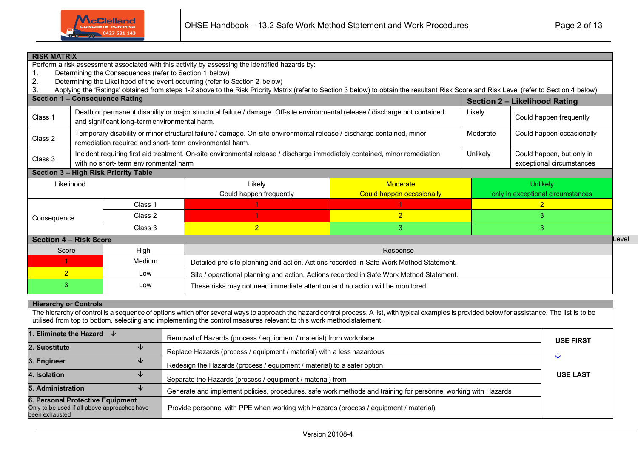

| <b>RISK MATRIX</b>                                                     |                                                                                                                                                                                                                                           |         | Perform a risk assessment associated with this activity by assessing the identified hazards by:                                                                                          |                           |          |                                   |      |  |  |  |
|------------------------------------------------------------------------|-------------------------------------------------------------------------------------------------------------------------------------------------------------------------------------------------------------------------------------------|---------|------------------------------------------------------------------------------------------------------------------------------------------------------------------------------------------|---------------------------|----------|-----------------------------------|------|--|--|--|
|                                                                        | Determining the Consequences (refer to Section 1 below)                                                                                                                                                                                   |         |                                                                                                                                                                                          |                           |          |                                   |      |  |  |  |
| 2.                                                                     |                                                                                                                                                                                                                                           |         | Determining the Likelihood of the event occurring (refer to Section 2 below)                                                                                                             |                           |          |                                   |      |  |  |  |
| 3.                                                                     |                                                                                                                                                                                                                                           |         | Applying the 'Ratings' obtained from steps 1-2 above to the Risk Priority Matrix (refer to Section 3 below) to obtain the resultant Risk Score and Risk Level (refer to Section 4 below) |                           |          |                                   |      |  |  |  |
| <b>Section 1 - Consequence Rating</b><br>Section 2 - Likelihood Rating |                                                                                                                                                                                                                                           |         |                                                                                                                                                                                          |                           |          |                                   |      |  |  |  |
| Class 1                                                                | Death or permanent disability or major structural failure / damage. Off-site environmental release / discharge not contained<br>Likely<br>Could happen frequently<br>and significant long-term environmental harm.                        |         |                                                                                                                                                                                          |                           |          |                                   |      |  |  |  |
| Class 2                                                                | remediation required and short- term environmental harm.                                                                                                                                                                                  |         | Temporary disability or minor structural failure / damage. On-site environmental release / discharge contained, minor                                                                    |                           | Moderate | Could happen occasionally         |      |  |  |  |
| Class 3                                                                | Incident requiring first aid treatment. On-site environmental release / discharge immediately contained, minor remediation<br>Unlikely<br>Could happen, but only in<br>with no short-term environmental harm<br>exceptional circumstances |         |                                                                                                                                                                                          |                           |          |                                   |      |  |  |  |
|                                                                        | Section 3 - High Risk Priority Table                                                                                                                                                                                                      |         |                                                                                                                                                                                          |                           |          |                                   |      |  |  |  |
| Likelihood                                                             |                                                                                                                                                                                                                                           |         | Likely                                                                                                                                                                                   | Moderate                  | Unlikely |                                   |      |  |  |  |
|                                                                        |                                                                                                                                                                                                                                           |         | Could happen frequently                                                                                                                                                                  | Could happen occasionally |          | only in exceptional circumstances |      |  |  |  |
|                                                                        |                                                                                                                                                                                                                                           | Class 1 |                                                                                                                                                                                          |                           |          | $\overline{2}$                    |      |  |  |  |
| Consequence                                                            |                                                                                                                                                                                                                                           | Class 2 |                                                                                                                                                                                          | $\overline{2}$            |          | 3                                 |      |  |  |  |
|                                                                        |                                                                                                                                                                                                                                           | Class 3 | $\overline{2}$                                                                                                                                                                           | 3                         |          | 3                                 |      |  |  |  |
| <b>Section 4 - Risk Score</b>                                          |                                                                                                                                                                                                                                           |         |                                                                                                                                                                                          |                           |          |                                   | Leve |  |  |  |
| Score                                                                  |                                                                                                                                                                                                                                           | High    |                                                                                                                                                                                          | Response                  |          |                                   |      |  |  |  |
|                                                                        |                                                                                                                                                                                                                                           | Medium  | Detailed pre-site planning and action. Actions recorded in Safe Work Method Statement.                                                                                                   |                           |          |                                   |      |  |  |  |
| $\overline{2}$                                                         |                                                                                                                                                                                                                                           | Low     | Site / operational planning and action. Actions recorded in Safe Work Method Statement.                                                                                                  |                           |          |                                   |      |  |  |  |
| 3                                                                      |                                                                                                                                                                                                                                           | Low     | These risks may not need immediate attention and no action will be monitored                                                                                                             |                           |          |                                   |      |  |  |  |

| <b>Hierarchy or Controls</b>                                                                                                                                                                                                                                                                                                 |                                                                                                                |                  |  |  |  |  |  |
|------------------------------------------------------------------------------------------------------------------------------------------------------------------------------------------------------------------------------------------------------------------------------------------------------------------------------|----------------------------------------------------------------------------------------------------------------|------------------|--|--|--|--|--|
| The hierarchy of control is a sequence of options which offer several ways to approach the hazard control process. A list, with typical examples is provided below for assistance. The list is to be<br>utilised from top to bottom, selecting and implementing the control measures relevant to this work method statement. |                                                                                                                |                  |  |  |  |  |  |
| 1. Eliminate the Hazard<br>╰                                                                                                                                                                                                                                                                                                 | Removal of Hazards (process / equipment / material) from workplace                                             | <b>USE FIRST</b> |  |  |  |  |  |
| 2. Substitute<br>◡                                                                                                                                                                                                                                                                                                           | Replace Hazards (process / equipment / material) with a less hazardous                                         | ◡                |  |  |  |  |  |
| 3. Engineer<br>◡                                                                                                                                                                                                                                                                                                             | Redesign the Hazards (process / equipment / material) to a safer option                                        |                  |  |  |  |  |  |
| 4. Isolation<br>◡                                                                                                                                                                                                                                                                                                            | Separate the Hazards (process / equipment / material) from                                                     | <b>USE LAST</b>  |  |  |  |  |  |
| <b>5. Administration</b><br>◡                                                                                                                                                                                                                                                                                                | Generate and implement policies, procedures, safe work methods and training for personnel working with Hazards |                  |  |  |  |  |  |
| 6. Personal Protective Equipment<br>Only to be used if all above approaches have<br>been exhausted                                                                                                                                                                                                                           | Provide personnel with PPE when working with Hazards (process / equipment / material)                          |                  |  |  |  |  |  |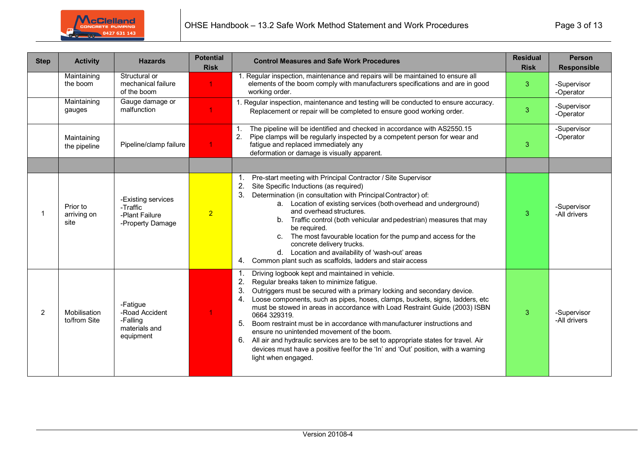

| <b>Step</b> | <b>Activity</b>                 | <b>Hazards</b>                                                       | <b>Potential</b><br><b>Risk</b> | <b>Control Measures and Safe Work Procedures</b>                                                                                                                                                                                                                                                                                                                                                                                                                                                                                                                                                                                                                                                                      | <b>Residual</b><br><b>Risk</b> | <b>Person</b><br><b>Responsible</b> |
|-------------|---------------------------------|----------------------------------------------------------------------|---------------------------------|-----------------------------------------------------------------------------------------------------------------------------------------------------------------------------------------------------------------------------------------------------------------------------------------------------------------------------------------------------------------------------------------------------------------------------------------------------------------------------------------------------------------------------------------------------------------------------------------------------------------------------------------------------------------------------------------------------------------------|--------------------------------|-------------------------------------|
|             | Maintaining<br>the boom         | Structural or<br>mechanical failure<br>of the boom                   | $\blacktriangleleft$            | 1. Regular inspection, maintenance and repairs will be maintained to ensure all<br>elements of the boom comply with manufacturers specifications and are in good<br>working order.                                                                                                                                                                                                                                                                                                                                                                                                                                                                                                                                    | 3                              | -Supervisor<br>-Operator            |
|             | Maintaining<br>gauges           | Gauge damage or<br>malfunction                                       |                                 | 1. Regular inspection, maintenance and testing will be conducted to ensure accuracy.<br>Replacement or repair will be completed to ensure good working order.                                                                                                                                                                                                                                                                                                                                                                                                                                                                                                                                                         | 3                              | -Supervisor<br>-Operator            |
|             | Maintaining<br>the pipeline     | Pipeline/clamp failure                                               |                                 | The pipeline will be identified and checked in accordance with AS2550.15<br>1 <sup>1</sup><br>Pipe clamps will be regularly inspected by a competent person for wear and<br>2.<br>fatigue and replaced immediately any<br>deformation or damage is visually apparent.                                                                                                                                                                                                                                                                                                                                                                                                                                                 | 3                              | -Supervisor<br>-Operator            |
|             |                                 |                                                                      |                                 |                                                                                                                                                                                                                                                                                                                                                                                                                                                                                                                                                                                                                                                                                                                       |                                |                                     |
|             | Prior to<br>arriving on<br>site | -Existing services<br>-Traffic<br>-Plant Failure<br>-Property Damage | $\overline{2}$                  | Pre-start meeting with Principal Contractor / Site Supervisor<br>1.<br>2.<br>Site Specific Inductions (as required)<br>3.<br>Determination (in consultation with Principal Contractor) of:<br>a. Location of existing services (both overhead and underground)<br>and overhead structures.<br>Traffic control (both vehicular and pedestrian) measures that may<br>b.<br>be required.<br>The most favourable location for the pump and access for the<br>C.<br>concrete delivery trucks.<br>d. Location and availability of 'wash-out' areas<br>Common plant such as scaffolds, ladders and stair access<br>4.                                                                                                        | 3                              | -Supervisor<br>-All drivers         |
| 2           | Mobilisation<br>to/from Site    | -Fatigue<br>-Road Accident<br>-Falling<br>materials and<br>equipment |                                 | Driving logbook kept and maintained in vehicle.<br>1.<br>2.<br>Regular breaks taken to minimize fatigue.<br>3.<br>Outriggers must be secured with a primary locking and secondary device.<br>Loose components, such as pipes, hoses, clamps, buckets, signs, ladders, etc<br>4.<br>must be stowed in areas in accordance with Load Restraint Guide (2003) ISBN<br>0664 329319.<br>Boom restraint must be in accordance with manufacturer instructions and<br>5.<br>ensure no unintended movement of the boom.<br>All air and hydraulic services are to be set to appropriate states for travel. Air<br>6.<br>devices must have a positive feel for the 'In' and 'Out' position, with a warning<br>light when engaged. | 3                              | -Supervisor<br>-All drivers         |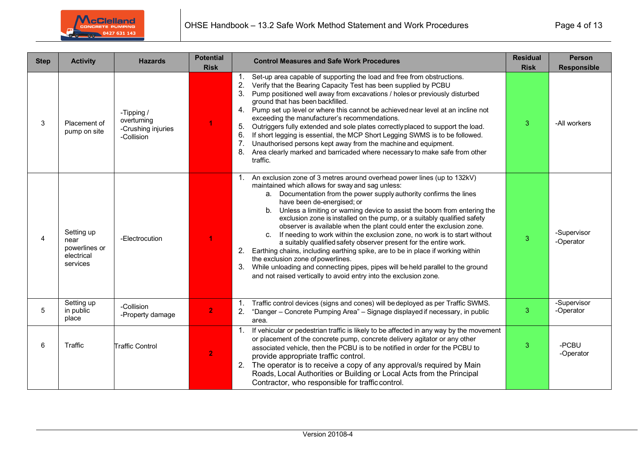

| <b>Step</b> | <b>Activity</b>                                               | <b>Hazards</b>                                                | <b>Potential</b><br><b>Risk</b> | <b>Control Measures and Safe Work Procedures</b>                                                                                                                                                                                                                                                                                                                                                                                                                                                                                                                                                                                                                                                                                                                                                                                                                                                                                | <b>Residual</b><br><b>Risk</b> | <b>Person</b><br><b>Responsible</b> |
|-------------|---------------------------------------------------------------|---------------------------------------------------------------|---------------------------------|---------------------------------------------------------------------------------------------------------------------------------------------------------------------------------------------------------------------------------------------------------------------------------------------------------------------------------------------------------------------------------------------------------------------------------------------------------------------------------------------------------------------------------------------------------------------------------------------------------------------------------------------------------------------------------------------------------------------------------------------------------------------------------------------------------------------------------------------------------------------------------------------------------------------------------|--------------------------------|-------------------------------------|
| 3           | Placement of<br>pump on site                                  | -Tipping /<br>overturning<br>-Crushing injuries<br>-Collision | 1                               | Set-up area capable of supporting the load and free from obstructions.<br>2.<br>Verify that the Bearing Capacity Test has been supplied by PCBU<br>3 <sub>1</sub><br>Pump positioned well away from excavations / holes or previously disturbed<br>ground that has been backfilled.<br>Pump set up level or where this cannot be achieved near level at an incline not<br>4.<br>exceeding the manufacturer's recommendations.<br>Outriggers fully extended and sole plates correctly placed to support the load.<br>5.<br>6.<br>If short legging is essential, the MCP Short Legging SWMS is to be followed.<br>Unauthorised persons kept away from the machine and equipment.<br>8.<br>Area clearly marked and barricaded where necessary to make safe from other<br>traffic.                                                                                                                                                  | 3                              | -All workers                        |
| 4           | Setting up<br>near<br>powerlines or<br>electrical<br>services | -Electrocution                                                | 4                               | An exclusion zone of 3 metres around overhead power lines (up to 132kV)<br>maintained which allows for sway and sag unless:<br>a. Documentation from the power supply authority confirms the lines<br>have been de-energised; or<br>b. Unless a limiting or warning device to assist the boom from entering the<br>exclusion zone is installed on the pump, or a suitably qualified safety<br>observer is available when the plant could enter the exclusion zone.<br>c. If needing to work within the exclusion zone, no work is to start without<br>a suitably qualified safety observer present for the entire work.<br>Earthing chains, including earthing spike, are to be in place if working within<br>2.<br>the exclusion zone of powerlines.<br>While unloading and connecting pipes, pipes will be held parallel to the ground<br>3 <sub>1</sub><br>and not raised vertically to avoid entry into the exclusion zone. | $\mathbf{3}$                   | -Supervisor<br>-Operator            |
| 5           | Setting up<br>in public<br>place                              | -Collision<br>-Property damage                                | $\overline{2}$                  | Traffic control devices (signs and cones) will be deployed as per Traffic SWMS.<br>"Danger - Concrete Pumping Area" - Signage displayed if necessary, in public<br>2.<br>area.                                                                                                                                                                                                                                                                                                                                                                                                                                                                                                                                                                                                                                                                                                                                                  | 3                              | -Supervisor<br>-Operator            |
| 6           | Traffic                                                       | <b>Traffic Control</b>                                        | $\overline{2}$                  | If vehicular or pedestrian traffic is likely to be affected in any way by the movement<br>or placement of the concrete pump, concrete delivery agitator or any other<br>associated vehicle, then the PCBU is to be notified in order for the PCBU to<br>provide appropriate traffic control.<br>2. The operator is to receive a copy of any approval/s required by Main<br>Roads, Local Authorities or Building or Local Acts from the Principal<br>Contractor, who responsible for traffic control.                                                                                                                                                                                                                                                                                                                                                                                                                            | 3                              | -PCBU<br>-Operator                  |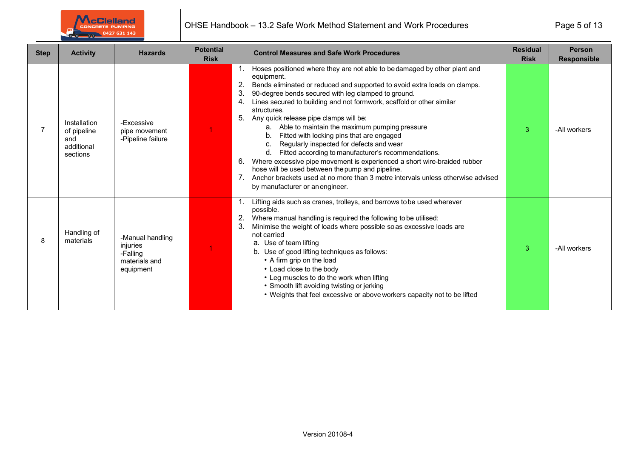

| <b>Step</b> | <b>Activity</b>                                              | <b>Hazards</b>                                                         | <b>Potential</b> | <b>Control Measures and Safe Work Procedures</b>                                                                                                                                                                                                                                                                                                                                                                                                                                                                                                                                                                                                                                                                                                                                                                                                                                       | <b>Residual</b>              | <b>Person</b>                      |
|-------------|--------------------------------------------------------------|------------------------------------------------------------------------|------------------|----------------------------------------------------------------------------------------------------------------------------------------------------------------------------------------------------------------------------------------------------------------------------------------------------------------------------------------------------------------------------------------------------------------------------------------------------------------------------------------------------------------------------------------------------------------------------------------------------------------------------------------------------------------------------------------------------------------------------------------------------------------------------------------------------------------------------------------------------------------------------------------|------------------------------|------------------------------------|
|             | Installation<br>of pipeline<br>and<br>additional<br>sections | -Excessive<br>pipe movement<br>-Pipeline failure                       | <b>Risk</b>      | Hoses positioned where they are not able to be damaged by other plant and<br>equipment.<br>2.<br>Bends eliminated or reduced and supported to avoid extra loads on clamps.<br>3.<br>90-degree bends secured with leg clamped to ground.<br>Lines secured to building and not formwork, scaffold or other similar<br>4.<br>structures.<br>5.<br>Any quick release pipe clamps will be:<br>a. Able to maintain the maximum pumping pressure<br>Fitted with locking pins that are engaged<br>b.<br>Regularly inspected for defects and wear<br>C.<br>d. Fitted according to manufacturer's recommendations.<br>Where excessive pipe movement is experienced a short wire-braided rubber<br>6.<br>hose will be used between the pump and pipeline.<br>7 <sub>1</sub><br>Anchor brackets used at no more than 3 metre intervals unless otherwise advised<br>by manufacturer or an engineer. | <b>Risk</b><br>$\mathcal{R}$ | <b>Responsible</b><br>-All workers |
| 8           | Handling of<br>materials                                     | -Manual handling<br>injuries<br>-Falling<br>materials and<br>equipment |                  | Lifting aids such as cranes, trolleys, and barrows to be used wherever<br>possible.<br>Where manual handling is required the following to be utilised:<br>3.<br>Minimise the weight of loads where possible so as excessive loads are<br>not carried<br>a. Use of team lifting<br>b. Use of good lifting techniques as follows:<br>• A firm grip on the load<br>• Load close to the body<br>• Leg muscles to do the work when lifting<br>• Smooth lift avoiding twisting or jerking<br>• Weights that feel excessive or above workers capacity not to be lifted                                                                                                                                                                                                                                                                                                                        | 3                            | -All workers                       |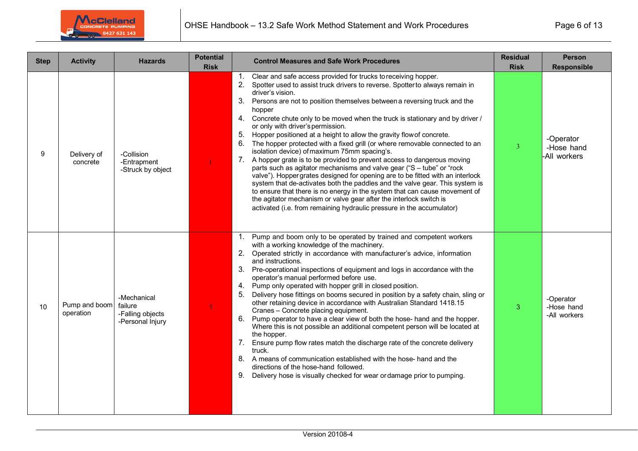

| <b>Step</b> | <b>Activity</b>            | <b>Hazards</b>                                                 | <b>Potential</b><br><b>Risk</b> | <b>Control Measures and Safe Work Procedures</b>                                                                                                                                                                                                                                                                                                                                                                                                                                                                                                                                                                                                                                                                                                                                                                                                                                                                                                                                                                                                                                                                                                                                 | <b>Residual</b><br><b>Risk</b> | <b>Person</b><br><b>Responsible</b>     |
|-------------|----------------------------|----------------------------------------------------------------|---------------------------------|----------------------------------------------------------------------------------------------------------------------------------------------------------------------------------------------------------------------------------------------------------------------------------------------------------------------------------------------------------------------------------------------------------------------------------------------------------------------------------------------------------------------------------------------------------------------------------------------------------------------------------------------------------------------------------------------------------------------------------------------------------------------------------------------------------------------------------------------------------------------------------------------------------------------------------------------------------------------------------------------------------------------------------------------------------------------------------------------------------------------------------------------------------------------------------|--------------------------------|-----------------------------------------|
| 9           | Delivery of<br>concrete    | -Collision<br>-Entrapment<br>-Struck by object                 |                                 | Clear and safe access provided for trucks to receiving hopper.<br>$1_{\cdot}$<br>Spotter used to assist truck drivers to reverse. Spotter to always remain in<br>2.<br>driver's vision.<br>3. Persons are not to position themselves between a reversing truck and the<br>hopper<br>4. Concrete chute only to be moved when the truck is stationary and by driver /<br>or only with driver's permission.<br>5.<br>Hopper positioned at a height to allow the gravity flow of concrete.<br>The hopper protected with a fixed grill (or where removable connected to an<br>6.<br>isolation device) of maximum 75mm spacing's.<br>7. A hopper grate is to be provided to prevent access to dangerous moving<br>parts such as agitator mechanisms and valve gear ("S - tube" or "rock<br>valve"). Hopper grates designed for opening are to be fitted with an interlock<br>system that de-activates both the paddles and the valve gear. This system is<br>to ensure that there is no energy in the system that can cause movement of<br>the agitator mechanism or valve gear after the interlock switch is<br>activated (i.e. from remaining hydraulic pressure in the accumulator) | 3                              | -Operator<br>-Hose hand<br>-All workers |
| 10          | Pump and boom<br>operation | -Mechanical<br>failure<br>-Falling objects<br>-Personal Injury |                                 | Pump and boom only to be operated by trained and competent workers<br>1.<br>with a working knowledge of the machinery.<br>2. Operated strictly in accordance with manufacturer's advice, information<br>and instructions.<br>3. Pre-operational inspections of equipment and logs in accordance with the<br>operator's manual performed before use.<br>4. Pump only operated with hopper grill in closed position.<br>5.<br>Delivery hose fittings on booms secured in position by a safety chain, sling or<br>other retaining device in accordance with Australian Standard 1418.15<br>Cranes - Concrete placing equipment.<br>Pump operator to have a clear view of both the hose- hand and the hopper.<br>6.<br>Where this is not possible an additional competent person will be located at<br>the hopper.<br>7.<br>Ensure pump flow rates match the discharge rate of the concrete delivery<br>truck.<br>8. A means of communication established with the hose- hand and the<br>directions of the hose-hand followed.<br>Delivery hose is visually checked for wear or damage prior to pumping.<br>9.                                                                       | 3                              | -Operator<br>-Hose hand<br>-All workers |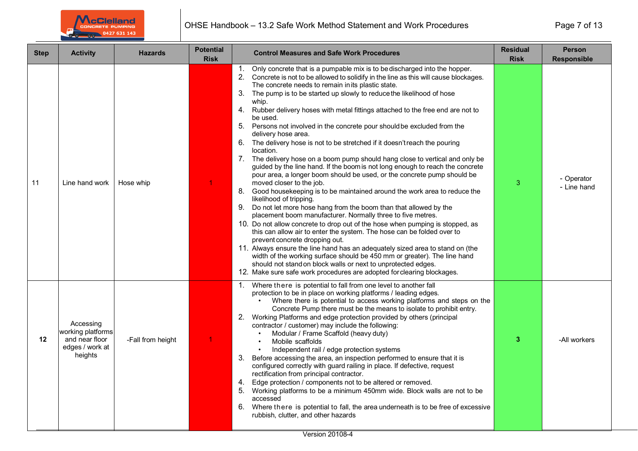

| <b>Step</b> | <b>Activity</b>                                                                | <b>Hazards</b>    | <b>Potential</b><br><b>Risk</b> | <b>Control Measures and Safe Work Procedures</b>                                                                                                                                                                                                                                                                                                                                                                                                                                                                                                                                                                                                                                                                                                                                                                                                                                                                                                                                                                                                                                                                                                                                                                                                                                                                                                                                                                                                                                                                                                                                                                                                                | <b>Residual</b><br><b>Risk</b> | <b>Person</b><br><b>Responsible</b> |
|-------------|--------------------------------------------------------------------------------|-------------------|---------------------------------|-----------------------------------------------------------------------------------------------------------------------------------------------------------------------------------------------------------------------------------------------------------------------------------------------------------------------------------------------------------------------------------------------------------------------------------------------------------------------------------------------------------------------------------------------------------------------------------------------------------------------------------------------------------------------------------------------------------------------------------------------------------------------------------------------------------------------------------------------------------------------------------------------------------------------------------------------------------------------------------------------------------------------------------------------------------------------------------------------------------------------------------------------------------------------------------------------------------------------------------------------------------------------------------------------------------------------------------------------------------------------------------------------------------------------------------------------------------------------------------------------------------------------------------------------------------------------------------------------------------------------------------------------------------------|--------------------------------|-------------------------------------|
| 11          | Line hand work                                                                 | Hose whip         |                                 | Only concrete that is a pumpable mix is to be discharged into the hopper.<br>$1_{\cdot}$<br>2. Concrete is not to be allowed to solidify in the line as this will cause blockages.<br>The concrete needs to remain in its plastic state.<br>3.<br>The pump is to be started up slowly to reduce the likelihood of hose<br>whip.<br>4.<br>Rubber delivery hoses with metal fittings attached to the free end are not to<br>be used.<br>5. Persons not involved in the concrete pour should be excluded from the<br>delivery hose area.<br>6. The delivery hose is not to be stretched if it doesn't reach the pouring<br>location.<br>7. The delivery hose on a boom pump should hang close to vertical and only be<br>guided by the line hand. If the boom is not long enough to reach the concrete<br>pour area, a longer boom should be used, or the concrete pump should be<br>moved closer to the job.<br>8. Good housekeeping is to be maintained around the work area to reduce the<br>likelihood of tripping.<br>9. Do not let more hose hang from the boom than that allowed by the<br>placement boom manufacturer. Normally three to five metres.<br>10. Do not allow concrete to drop out of the hose when pumping is stopped, as<br>this can allow air to enter the system. The hose can be folded over to<br>prevent concrete dropping out.<br>11. Always ensure the line hand has an adequately sized area to stand on (the<br>width of the working surface should be 450 mm or greater). The line hand<br>should not stand on block walls or next to unprotected edges.<br>12. Make sure safe work procedures are adopted for clearing blockages. | 3                              | - Operator<br>- Line hand           |
| 12          | Accessing<br>working platforms<br>and near floor<br>edges / work at<br>heights | -Fall from height | $\blacktriangleleft$            | Where there is potential to fall from one level to another fall<br>1.<br>protection to be in place on working platforms / leading edges.<br>Where there is potential to access working platforms and steps on the<br>Concrete Pump there must be the means to isolate to prohibit entry.<br>2. Working Platforms and edge protection provided by others (principal<br>contractor / customer) may include the following:<br>Modular / Frame Scaffold (heavy duty)<br>Mobile scaffolds<br>Independent rail / edge protection systems<br>3. Before accessing the area, an inspection performed to ensure that it is<br>configured correctly with guard railing in place. If defective, request<br>rectification from principal contractor.<br>4. Edge protection / components not to be altered or removed.<br>5. Working platforms to be a minimum 450mm wide. Block walls are not to be<br>accessed<br>6.<br>Where there is potential to fall, the area underneath is to be free of excessive<br>rubbish, clutter, and other hazards                                                                                                                                                                                                                                                                                                                                                                                                                                                                                                                                                                                                                             | 3                              | -All workers                        |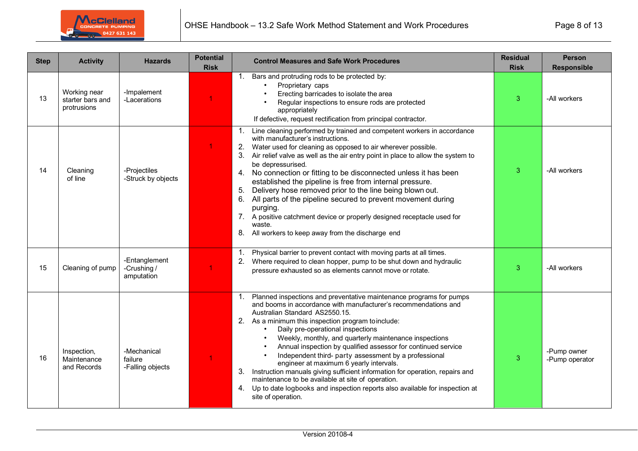

| <b>Step</b> | <b>Activity</b>                                 | <b>Hazards</b>                             | <b>Potential</b><br><b>Risk</b> | <b>Control Measures and Safe Work Procedures</b>                                                                                                                                                                                                                                                                                                                                                                                                                                                                                                                                                                                                                                                                                                                | <b>Residual</b><br><b>Risk</b> | <b>Person</b><br><b>Responsible</b> |
|-------------|-------------------------------------------------|--------------------------------------------|---------------------------------|-----------------------------------------------------------------------------------------------------------------------------------------------------------------------------------------------------------------------------------------------------------------------------------------------------------------------------------------------------------------------------------------------------------------------------------------------------------------------------------------------------------------------------------------------------------------------------------------------------------------------------------------------------------------------------------------------------------------------------------------------------------------|--------------------------------|-------------------------------------|
| 13          | Working near<br>starter bars and<br>protrusions | -Impalement<br>-Lacerations                | 1                               | Bars and protruding rods to be protected by:<br>1.<br>Proprietary caps<br>Erecting barricades to isolate the area<br>Regular inspections to ensure rods are protected<br>appropriately<br>If defective, request rectification from principal contractor.                                                                                                                                                                                                                                                                                                                                                                                                                                                                                                        | 3                              | -All workers                        |
| 14          | Cleaning<br>of line                             | -Projectiles<br>-Struck by objects         |                                 | Line cleaning performed by trained and competent workers in accordance<br>with manufacturer's instructions.<br>Water used for cleaning as opposed to air wherever possible.<br>2.<br>Air relief valve as well as the air entry point in place to allow the system to<br>be depressurised.<br>No connection or fitting to be disconnected unless it has been<br>4.<br>established the pipeline is free from internal pressure.<br>Delivery hose removed prior to the line being blown out.<br>5.<br>All parts of the pipeline secured to prevent movement during<br>6.<br>purging.<br>A positive catchment device or properly designed receptacle used for<br>7.<br>waste.<br>All workers to keep away from the discharge end                                    | 3                              | -All workers                        |
| 15          | Cleaning of pump                                | -Entanglement<br>-Crushing /<br>amputation | 1                               | Physical barrier to prevent contact with moving parts at all times.<br>Where required to clean hopper, pump to be shut down and hydraulic<br>pressure exhausted so as elements cannot move or rotate.                                                                                                                                                                                                                                                                                                                                                                                                                                                                                                                                                           | 3                              | -All workers                        |
| 16          | Inspection,<br>Maintenance<br>and Records       | -Mechanical<br>failure<br>-Falling objects | 1                               | Planned inspections and preventative maintenance programs for pumps<br>1.<br>and booms in accordance with manufacturer's recommendations and<br>Australian Standard AS2550.15.<br>2.<br>As a minimum this inspection program to include:<br>Daily pre-operational inspections<br>Weekly, monthly, and quarterly maintenance inspections<br>Annual inspection by qualified assessor for continued service<br>Independent third- party assessment by a professional<br>engineer at maximum 6 yearly intervals.<br>Instruction manuals giving sufficient information for operation, repairs and<br>3.<br>maintenance to be available at site of operation.<br>4. Up to date logbooks and inspection reports also available for inspection at<br>site of operation. | 3                              | -Pump owner<br>-Pump operator       |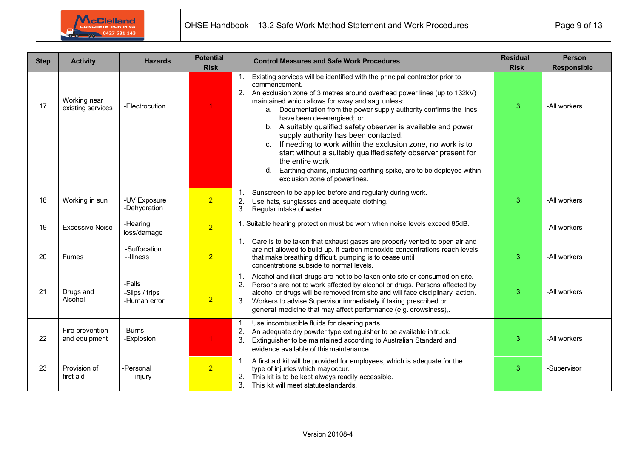

| <b>Step</b> | <b>Activity</b>                   | <b>Hazards</b>                           | <b>Potential</b><br><b>Risk</b> | <b>Control Measures and Safe Work Procedures</b>                                                                                                                                                                                                                                                                                                                                                                                                                                                                                                                                                                                                                                                                                            | <b>Residual</b><br><b>Risk</b> | <b>Person</b><br><b>Responsible</b> |
|-------------|-----------------------------------|------------------------------------------|---------------------------------|---------------------------------------------------------------------------------------------------------------------------------------------------------------------------------------------------------------------------------------------------------------------------------------------------------------------------------------------------------------------------------------------------------------------------------------------------------------------------------------------------------------------------------------------------------------------------------------------------------------------------------------------------------------------------------------------------------------------------------------------|--------------------------------|-------------------------------------|
| 17          | Working near<br>existing services | -Electrocution                           |                                 | Existing services will be identified with the principal contractor prior to<br>$\mathbf{1}$ .<br>commencement.<br>2.<br>An exclusion zone of 3 metres around overhead power lines (up to 132kV)<br>maintained which allows for sway and sag unless:<br>a. Documentation from the power supply authority confirms the lines<br>have been de-energised; or<br>b. A suitably qualified safety observer is available and power<br>supply authority has been contacted.<br>If needing to work within the exclusion zone, no work is to<br>C.<br>start without a suitably qualified safety observer present for<br>the entire work<br>Earthing chains, including earthing spike, are to be deployed within<br>d.<br>exclusion zone of powerlines. | 3                              | -All workers                        |
| 18          | Working in sun                    | -UV Exposure<br>-Dehydration             | 2 <sup>1</sup>                  | Sunscreen to be applied before and regularly during work.<br>1.<br>2.<br>Use hats, sunglasses and adequate clothing.<br>3.<br>Regular intake of water.                                                                                                                                                                                                                                                                                                                                                                                                                                                                                                                                                                                      | 3                              | -All workers                        |
| 19          | <b>Excessive Noise</b>            | -Hearing<br>loss/damage                  | 2 <sup>1</sup>                  | 1. Suitable hearing protection must be worn when noise levels exceed 85dB.                                                                                                                                                                                                                                                                                                                                                                                                                                                                                                                                                                                                                                                                  |                                | -All workers                        |
| 20          | <b>Fumes</b>                      | -Suffocation<br>--Illness                | $\overline{2}$                  | Care is to be taken that exhaust gases are properly vented to open air and<br>1.<br>are not allowed to build up. If carbon monoxide concentrations reach levels<br>that make breathing difficult, pumping is to cease until<br>concentrations subside to normal levels.                                                                                                                                                                                                                                                                                                                                                                                                                                                                     | 3                              | -All workers                        |
| 21          | Drugs and<br>Alcohol              | -Falls<br>-Slips / trips<br>-Human error | $\overline{2}$                  | Alcohol and illicit drugs are not to be taken onto site or consumed on site.<br>1.<br>Persons are not to work affected by alcohol or drugs. Persons affected by<br>2.<br>alcohol or drugs will be removed from site and will face disciplinary action.<br>Workers to advise Supervisor immediately if taking prescribed or<br>3.<br>general medicine that may affect performance (e.g. drowsiness),.                                                                                                                                                                                                                                                                                                                                        | 3                              | -All workers                        |
| 22          | Fire prevention<br>and equipment  | -Burns<br>-Explosion                     |                                 | Use incombustible fluids for cleaning parts.<br>1.<br>An adequate dry powder type extinguisher to be available in truck.<br>2.<br>Extinguisher to be maintained according to Australian Standard and<br>3.<br>evidence available of this maintenance.                                                                                                                                                                                                                                                                                                                                                                                                                                                                                       | 3                              | -All workers                        |
| 23          | Provision of<br>first aid         | -Personal<br>injury                      | 2 <sup>1</sup>                  | A first aid kit will be provided for employees, which is adequate for the<br>1.<br>type of injuries which may occur.<br>This kit is to be kept always readily accessible.<br>2.<br>3.<br>This kit will meet statute standards.                                                                                                                                                                                                                                                                                                                                                                                                                                                                                                              | 3                              | -Supervisor                         |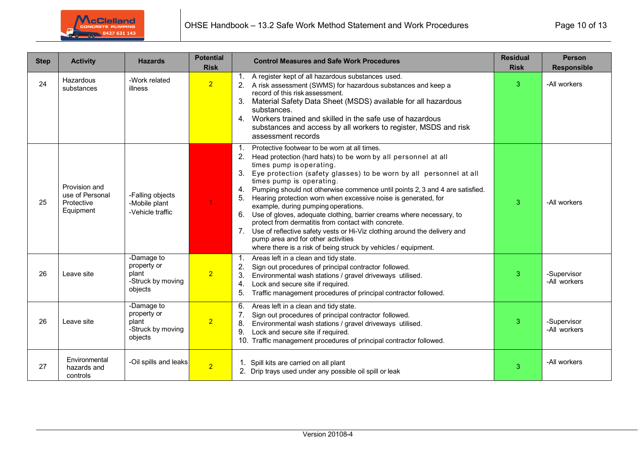

| <b>Step</b> | <b>Activity</b>                                             | <b>Hazards</b>                                                     | <b>Potential</b><br><b>Risk</b> | <b>Control Measures and Safe Work Procedures</b>                                                                                                                                                                                                                                                                                                                                                                                                                                                                                                                                                                                                                                                                                                                                                          | <b>Residual</b><br><b>Risk</b> | <b>Person</b><br><b>Responsible</b> |
|-------------|-------------------------------------------------------------|--------------------------------------------------------------------|---------------------------------|-----------------------------------------------------------------------------------------------------------------------------------------------------------------------------------------------------------------------------------------------------------------------------------------------------------------------------------------------------------------------------------------------------------------------------------------------------------------------------------------------------------------------------------------------------------------------------------------------------------------------------------------------------------------------------------------------------------------------------------------------------------------------------------------------------------|--------------------------------|-------------------------------------|
| 24          | Hazardous<br>substances                                     | -Work related<br><b>illness</b>                                    | 2 <sup>1</sup>                  | A register kept of all hazardous substances used.<br>2. A risk assessment (SWMS) for hazardous substances and keep a<br>record of this risk assessment.<br>Material Safety Data Sheet (MSDS) available for all hazardous<br>substances.<br>4. Workers trained and skilled in the safe use of hazardous<br>substances and access by all workers to register, MSDS and risk<br>assessment records                                                                                                                                                                                                                                                                                                                                                                                                           | 3                              | -All workers                        |
| 25          | Provision and<br>use of Personal<br>Protective<br>Equipment | -Falling objects<br>-Mobile plant<br>-Vehicle traffic              | $\mathbf{1}$                    | Protective footwear to be worn at all times.<br>1.<br>Head protection (hard hats) to be worn by all personnel at all<br>2.<br>times pump is operating.<br>3.<br>Eye protection (safety glasses) to be worn by all personnel at all<br>times pump is operating.<br>Pumping should not otherwise commence until points 2, 3 and 4 are satisfied.<br>4.<br>5 <sub>1</sub><br>Hearing protection worn when excessive noise is generated, for<br>example, during pumping operations.<br>Use of gloves, adequate clothing, barrier creams where necessary, to<br>6.<br>protect from dermatitis from contact with concrete.<br>Use of reflective safety vests or Hi-Viz clothing around the delivery and<br>pump area and for other activities<br>where there is a risk of being struck by vehicles / equipment. | 3                              | -All workers                        |
| 26          | Leave site                                                  | -Damage to<br>property or<br>plant<br>-Struck by moving<br>objects | $\overline{2}$                  | 1.<br>Areas left in a clean and tidy state.<br>Sign out procedures of principal contractor followed.<br>3.<br>Environmental wash stations / gravel driveways utilised.<br>Lock and secure site if required.<br>4.<br>5.<br>Traffic management procedures of principal contractor followed.                                                                                                                                                                                                                                                                                                                                                                                                                                                                                                                | 3                              | -Supervisor<br>-All workers         |
| 26          | Leave site                                                  | -Damage to<br>property or<br>plant<br>-Struck by moving<br>objects | 2 <sup>1</sup>                  | Areas left in a clean and tidy state.<br>6.<br>Sign out procedures of principal contractor followed.<br>Environmental wash stations / gravel driveways utilised.<br>8.<br>9.<br>Lock and secure site if required.<br>Traffic management procedures of principal contractor followed.                                                                                                                                                                                                                                                                                                                                                                                                                                                                                                                      | 3                              | -Supervisor<br>-All workers         |
| 27          | Environmental<br>hazards and<br>controls                    | -Oil spills and leaks                                              | $\overline{2}$                  | Spill kits are carried on all plant<br>2. Drip trays used under any possible oil spill or leak                                                                                                                                                                                                                                                                                                                                                                                                                                                                                                                                                                                                                                                                                                            | 3                              | -All workers                        |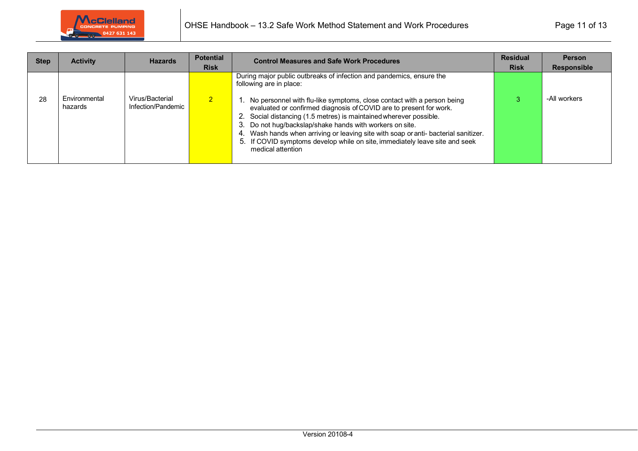

| <b>Step</b> | <b>Activity</b>          | <b>Hazards</b>                        | <b>Potential</b><br><b>Risk</b> | <b>Control Measures and Safe Work Procedures</b>                                                                                                                                                                                                                                                                                                                                                                                                                                                                                                                                   | <b>Residual</b><br><b>Risk</b> | <b>Person</b><br><b>Responsible</b> |
|-------------|--------------------------|---------------------------------------|---------------------------------|------------------------------------------------------------------------------------------------------------------------------------------------------------------------------------------------------------------------------------------------------------------------------------------------------------------------------------------------------------------------------------------------------------------------------------------------------------------------------------------------------------------------------------------------------------------------------------|--------------------------------|-------------------------------------|
| 28          | Environmental<br>hazards | Virus/Bacterial<br>Infection/Pandemic | $\mathcal{P}$                   | During major public outbreaks of infection and pandemics, ensure the<br>following are in place:<br>1. No personnel with flu-like symptoms, close contact with a person being<br>evaluated or confirmed diagnosis of COVID are to present for work.<br>2. Social distancing (1.5 metres) is maintained wherever possible.<br>3. Do not hug/backslap/shake hands with workers on site.<br>Wash hands when arriving or leaving site with soap or anti- bacterial sanitizer.<br>4.<br>5. If COVID symptoms develop while on site, immediately leave site and seek<br>medical attention |                                | -All workers                        |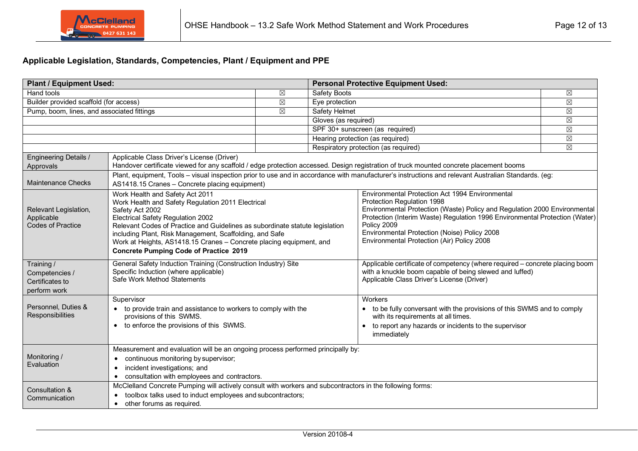## **Applicable Legislation, Standards, Competencies, Plant / Equipment and PPE**

| <b>Plant / Equipment Used:</b>                                                                                                                                                                                                                                  |                                                                                                                                                                                                                                                                     |                                  |                                                                                                                                                                                                                                                                                                                                                        | <b>Personal Protective Equipment Used:</b>                                                                                                                                                       |  |  |  |
|-----------------------------------------------------------------------------------------------------------------------------------------------------------------------------------------------------------------------------------------------------------------|---------------------------------------------------------------------------------------------------------------------------------------------------------------------------------------------------------------------------------------------------------------------|----------------------------------|--------------------------------------------------------------------------------------------------------------------------------------------------------------------------------------------------------------------------------------------------------------------------------------------------------------------------------------------------------|--------------------------------------------------------------------------------------------------------------------------------------------------------------------------------------------------|--|--|--|
| <b>Hand tools</b>                                                                                                                                                                                                                                               | ⊠                                                                                                                                                                                                                                                                   | <b>Safety Boots</b>              |                                                                                                                                                                                                                                                                                                                                                        | $\boxtimes$                                                                                                                                                                                      |  |  |  |
| Builder provided scaffold (for access)                                                                                                                                                                                                                          | ⊠                                                                                                                                                                                                                                                                   | Eye protection                   |                                                                                                                                                                                                                                                                                                                                                        | $\boxtimes$                                                                                                                                                                                      |  |  |  |
| Pump, boom, lines, and associated fittings                                                                                                                                                                                                                      | $\boxtimes$                                                                                                                                                                                                                                                         | <b>Safety Helmet</b>             |                                                                                                                                                                                                                                                                                                                                                        | $\boxtimes$                                                                                                                                                                                      |  |  |  |
|                                                                                                                                                                                                                                                                 |                                                                                                                                                                                                                                                                     | Gloves (as required)             |                                                                                                                                                                                                                                                                                                                                                        | $\boxtimes$                                                                                                                                                                                      |  |  |  |
|                                                                                                                                                                                                                                                                 |                                                                                                                                                                                                                                                                     | SPF 30+ sunscreen (as required)  | $\boxtimes$                                                                                                                                                                                                                                                                                                                                            |                                                                                                                                                                                                  |  |  |  |
|                                                                                                                                                                                                                                                                 |                                                                                                                                                                                                                                                                     | Hearing protection (as required) | $\boxtimes$                                                                                                                                                                                                                                                                                                                                            |                                                                                                                                                                                                  |  |  |  |
|                                                                                                                                                                                                                                                                 |                                                                                                                                                                                                                                                                     |                                  | Respiratory protection (as required)                                                                                                                                                                                                                                                                                                                   | $\boxtimes$                                                                                                                                                                                      |  |  |  |
| <b>Engineering Details /</b><br>Approvals                                                                                                                                                                                                                       | Applicable Class Driver's License (Driver)<br>Handover certificate viewed for any scaffold / edge protection accessed. Design registration of truck mounted concrete placement booms                                                                                |                                  |                                                                                                                                                                                                                                                                                                                                                        |                                                                                                                                                                                                  |  |  |  |
| <b>Maintenance Checks</b>                                                                                                                                                                                                                                       | Plant, equipment, Tools - visual inspection prior to use and in accordance with manufacturer's instructions and relevant Australian Standards. (eg:<br>AS1418.15 Cranes - Concrete placing equipment)                                                               |                                  |                                                                                                                                                                                                                                                                                                                                                        |                                                                                                                                                                                                  |  |  |  |
| Relevant Legislation,<br>Applicable<br>Codes of Practice                                                                                                                                                                                                        | Work Health and Safety Regulation 2011 Electrical<br>Relevant Codes of Practice and Guidelines as subordinate statute legislation<br>including Plant, Risk Management, Scaffolding, and Safe<br>Work at Heights, AS1418.15 Cranes - Concrete placing equipment, and |                                  | Environmental Protection Act 1994 Environmental<br>Protection Regulation 1998<br>Environmental Protection (Waste) Policy and Regulation 2000 Environmental<br>Protection (Interim Waste) Regulation 1996 Environmental Protection (Water)<br>Policy 2009<br>Environmental Protection (Noise) Policy 2008<br>Environmental Protection (Air) Policy 2008 |                                                                                                                                                                                                  |  |  |  |
| General Safety Induction Training (Construction Industry) Site<br>Training /<br>Specific Induction (where applicable)<br>Competencies /<br>Safe Work Method Statements<br>Certificates to<br>perform work                                                       |                                                                                                                                                                                                                                                                     |                                  |                                                                                                                                                                                                                                                                                                                                                        | Applicable certificate of competency (where required - concrete placing boom<br>with a knuckle boom capable of being slewed and luffed)<br>Applicable Class Driver's License (Driver)            |  |  |  |
| Supervisor<br>Personnel, Duties &<br>• to provide train and assistance to workers to comply with the<br>Responsibilities<br>provisions of this SWMS.<br>to enforce the provisions of this SWMS.<br>$\bullet$                                                    |                                                                                                                                                                                                                                                                     |                                  |                                                                                                                                                                                                                                                                                                                                                        | Workers<br>• to be fully conversant with the provisions of this SWMS and to comply<br>with its requirements at all times.<br>to report any hazards or incidents to the supervisor<br>immediately |  |  |  |
| Measurement and evaluation will be an ongoing process performed principally by:<br>Monitoring /<br>continuous monitoring by supervisor;<br>$\bullet$<br>Evaluation<br>incident investigations; and<br>$\bullet$<br>consultation with employees and contractors. |                                                                                                                                                                                                                                                                     |                                  |                                                                                                                                                                                                                                                                                                                                                        |                                                                                                                                                                                                  |  |  |  |
| Consultation &<br>Communication                                                                                                                                                                                                                                 | McClelland Concrete Pumping will actively consult with workers and subcontractors in the following forms:<br>toolbox talks used to induct employees and subcontractors;<br>$\bullet$<br>other forums as required.<br>$\bullet$                                      |                                  |                                                                                                                                                                                                                                                                                                                                                        |                                                                                                                                                                                                  |  |  |  |